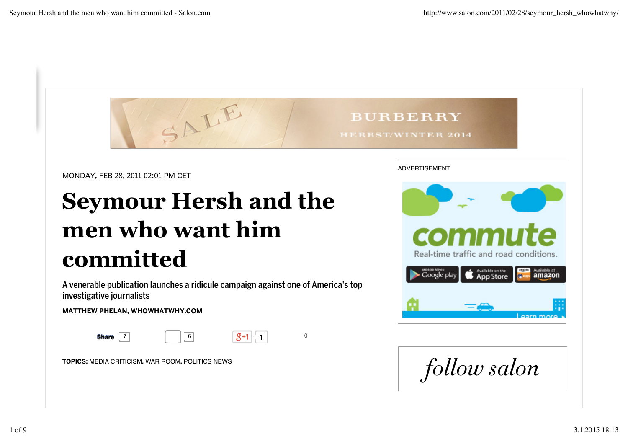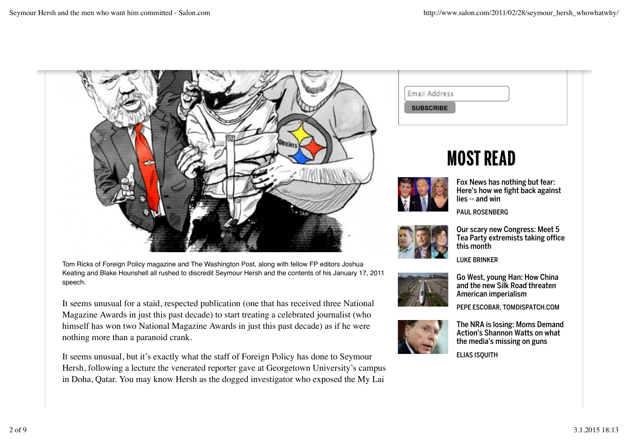

Tom Ricks of Foreign Policy magazine and The Washington Post, along with fellow FP editors Joshua Keating and Blake Hounshell all rushed to discredit Seymour Hersh and the contents of his January 17, 2011 speech.

It seems unusual for a staid, respected publication (one that has received three National Magazine Awards in just this past decade) to start treating a celebrated journalist (who himself has won two National Magazine Awards in just this past decade) as if he were nothing more than a paranoid crank.

It seems unusual, but it's exactly what the staff of Foreign Policy has done to Seymour Hersh, following a lecture the venerated reporter gave at Georgetown University's campus in Doha, Qatar. You may know Hersh as the dogged investigator who exposed the My Lai

| Email Address    |  |
|------------------|--|
| <b>SUBSCRIBE</b> |  |
|                  |  |

## **MOST READ**



Fox News has nothing but fear: Here's how we fight back against lies -- and win

PAUL ROSENBERG



Our scary new Congress: Meet 5 Tea Party extremists taking office this month

LUKE BRINKER



Go West, young Han: How China and the new Silk Road threaten American imperialism

PEPE ESCOBAR, TOMDISPATCH.COM



The NRA is losing: Moms Demand Action's Shannon Watts on what the media's missing on guns

**ELIAS ISQUITH**